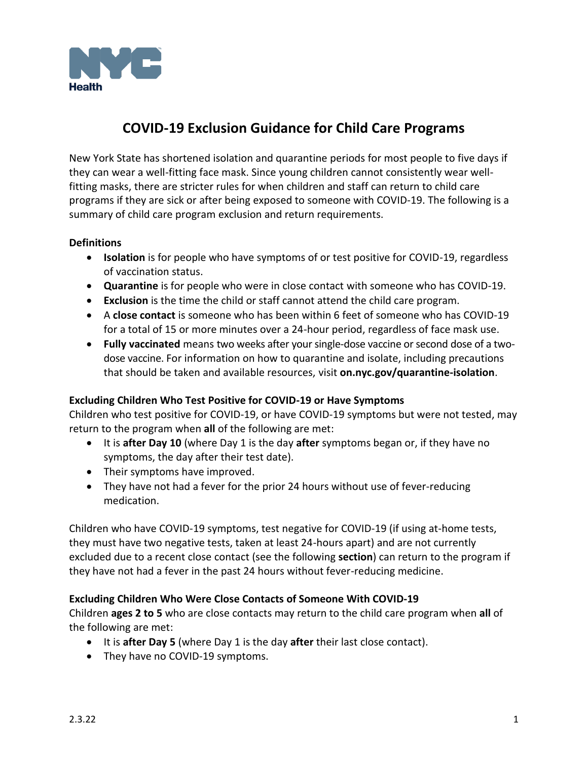

# **COVID-19 Exclusion Guidance for Child Care Programs**

New York State has shortened isolation and quarantine periods for most people to five days if they can wear a well-fitting face mask. Since young children cannot consistently wear wellfitting masks, there are stricter rules for when children and staff can return to child care programs if they are sick or after being exposed to someone with COVID-19. The following is a summary of child care program exclusion and return requirements.

## **Definitions**

- **Isolation** is for people who have symptoms of or test positive for COVID-19, regardless of vaccination status.
- **Quarantine** is for people who were in close contact with someone who has COVID-19.
- **Exclusion** is the time the child or staff cannot attend the child care program.
- A **close contact** is someone who has been within 6 feet of someone who has COVID-19 for a total of 15 or more minutes over a 24-hour period, regardless of face mask use.
- **Fully vaccinated** means two weeks after your single-dose vaccine or second dose of a twodose vaccine. For information on how to quarantine and isolate, including precautions that should be taken and available resources, visit **[on.nyc.gov/quarantine-isolation](https://www1.nyc.gov/assets/doh/downloads/pdf/covid/covid-19-understanding-quarantine-and-isolation.pdf)**.

## **Excluding Children Who Test Positive for COVID-19 or Have Symptoms**

Children who test positive for COVID-19, or have COVID-19 symptoms but were not tested, may return to the program when **all** of the following are met:

- It is **after Day 10** (where Day 1 is the day **after** symptoms began or, if they have no symptoms, the day after their test date).
- Their symptoms have improved.
- They have not had a fever for the prior 24 hours without use of fever-reducing medication.

Children who have COVID-19 symptoms, test negative for COVID-19 (if using at-home tests, they must have two negative tests, taken at least 24-hours apart) and are not currently excluded due to a recent close contact (see the following **[section](#page-0-0)**) can return to the program if they have not had a fever in the past 24 hours without fever-reducing medicine.

## <span id="page-0-0"></span>**Excluding Children Who Were Close Contacts of Someone With COVID-19**

Children **ages 2 to 5** who are close contacts may return to the child care program when **all** of the following are met:

- It is **after Day 5** (where Day 1 is the day **after** their last close contact).
- They have no COVID-19 symptoms.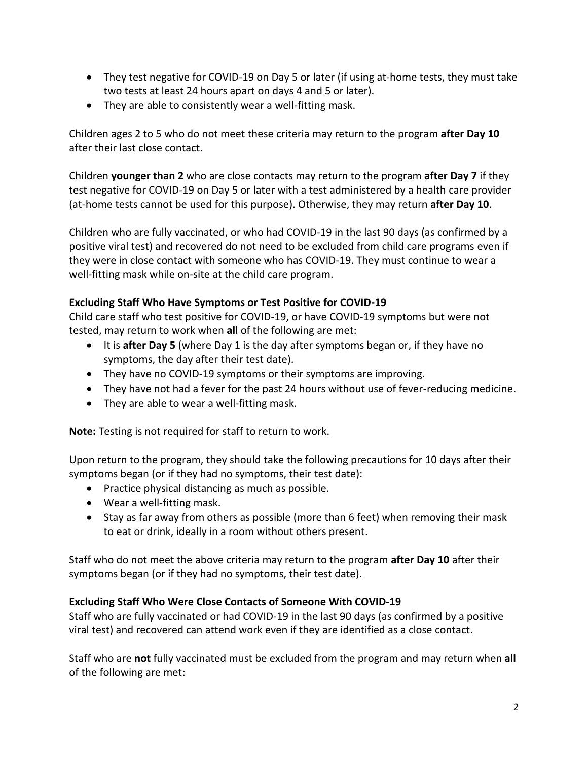- They test negative for COVID-19 on Day 5 or later (if using at-home tests, they must take two tests at least 24 hours apart on days 4 and 5 or later).
- They are able to consistently wear a well-fitting mask.

Children ages 2 to 5 who do not meet these criteria may return to the program **after Day 10** after their last close contact.

Children **younger than 2** who are close contacts may return to the program **after Day 7** if they test negative for COVID-19 on Day 5 or later with a test administered by a health care provider (at-home tests cannot be used for this purpose). Otherwise, they may return **after Day 10**.

Children who are fully vaccinated, or who had COVID-19 in the last 90 days (as confirmed by a positive viral test) and recovered do not need to be excluded from child care programs even if they were in close contact with someone who has COVID-19. They must continue to wear a well-fitting mask while on-site at the child care program.

## **Excluding Staff Who Have Symptoms or Test Positive for COVID-19**

Child care staff who test positive for COVID-19, or have COVID-19 symptoms but were not tested, may return to work when **all** of the following are met:

- It is **after Day 5** (where Day 1 is the day after symptoms began or, if they have no symptoms, the day after their test date).
- They have no COVID-19 symptoms or their symptoms are improving.
- They have not had a fever for the past 24 hours without use of fever-reducing medicine.
- They are able to wear a well-fitting mask.

**Note:** Testing is not required for staff to return to work.

Upon return to the program, they should take the following precautions for 10 days after their symptoms began (or if they had no symptoms, their test date):

- Practice physical distancing as much as possible.
- Wear a well-fitting mask.
- Stay as far away from others as possible (more than 6 feet) when removing their mask to eat or drink, ideally in a room without others present.

Staff who do not meet the above criteria may return to the program **after Day 10** after their symptoms began (or if they had no symptoms, their test date).

## **Excluding Staff Who Were Close Contacts of Someone With COVID-19**

Staff who are fully vaccinated or had COVID-19 in the last 90 days (as confirmed by a positive viral test) and recovered can attend work even if they are identified as a close contact.

Staff who are **not** fully vaccinated must be excluded from the program and may return when **all** of the following are met: